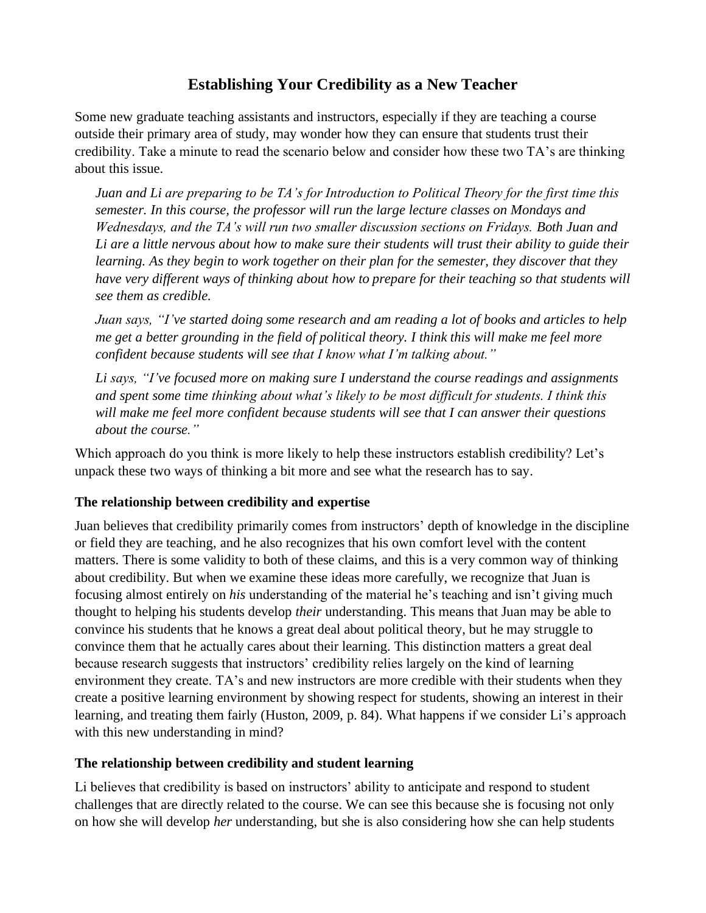# **Establishing Your Credibility as a New Teacher**

Some new graduate teaching assistants and instructors, especially if they are teaching a course outside their primary area of study, may wonder how they can ensure that students trust their credibility. Take a minute to read the scenario below and consider how these two TA's are thinking about this issue.

*Juan and Li are preparing to be TA's for Introduction to Political Theory for the first time this semester. In this course, the professor will run the large lecture classes on Mondays and Wednesdays, and the TA's will run two smaller discussion sections on Fridays. Both Juan and Li are a little nervous about how to make sure their students will trust their ability to guide their learning. As they begin to work together on their plan for the semester, they discover that they have very different ways of thinking about how to prepare for their teaching so that students will see them as credible.*

*Juan says, "I've started doing some research and am reading a lot of books and articles to help me get a better grounding in the field of political theory. I think this will make me feel more confident because students will see that I know what I'm talking about."*

*Li says, "I've focused more on making sure I understand the course readings and assignments and spent some time thinking about what's likely to be most difficult for students. I think this will make me feel more confident because students will see that I can answer their questions about the course."*

Which approach do you think is more likely to help these instructors establish credibility? Let's unpack these two ways of thinking a bit more and see what the research has to say.

### **The relationship between credibility and expertise**

Juan believes that credibility primarily comes from instructors' depth of knowledge in the discipline or field they are teaching, and he also recognizes that his own comfort level with the content matters. There is some validity to both of these claims, and this is a very common way of thinking about credibility. But when we examine these ideas more carefully, we recognize that Juan is focusing almost entirely on *his* understanding of the material he's teaching and isn't giving much thought to helping his students develop *their* understanding. This means that Juan may be able to convince his students that he knows a great deal about political theory, but he may struggle to convince them that he actually cares about their learning. This distinction matters a great deal because research suggests that instructors' credibility relies largely on the kind of learning environment they create. TA's and new instructors are more credible with their students when they create a positive learning environment by showing respect for students, showing an interest in their learning, and treating them fairly (Huston, 2009, p. 84). What happens if we consider Li's approach with this new understanding in mind?

#### **The relationship between credibility and student learning**

Li believes that credibility is based on instructors' ability to anticipate and respond to student challenges that are directly related to the course. We can see this because she is focusing not only on how she will develop *her* understanding, but she is also considering how she can help students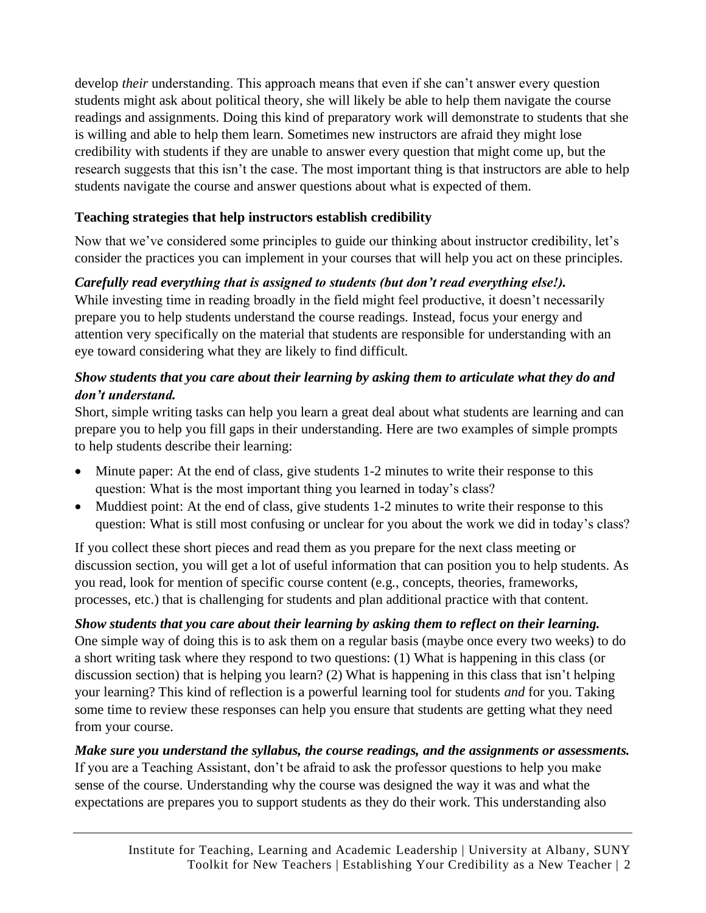develop *their* understanding. This approach means that even if she can't answer every question students might ask about political theory, she will likely be able to help them navigate the course readings and assignments. Doing this kind of preparatory work will demonstrate to students that she is willing and able to help them learn. Sometimes new instructors are afraid they might lose credibility with students if they are unable to answer every question that might come up, but the research suggests that this isn't the case. The most important thing is that instructors are able to help students navigate the course and answer questions about what is expected of them.

## **Teaching strategies that help instructors establish credibility**

Now that we've considered some principles to guide our thinking about instructor credibility, let's consider the practices you can implement in your courses that will help you act on these principles.

# *Carefully read everything that is assigned to students (but don't read everything else!).*

While investing time in reading broadly in the field might feel productive, it doesn't necessarily prepare you to help students understand the course readings. Instead, focus your energy and attention very specifically on the material that students are responsible for understanding with an eye toward considering what they are likely to find difficult.

## *Show students that you care about their learning by asking them to articulate what they do and don't understand.*

Short, simple writing tasks can help you learn a great deal about what students are learning and can prepare you to help you fill gaps in their understanding. Here are two examples of simple prompts to help students describe their learning:

- Minute paper: At the end of class, give students 1-2 minutes to write their response to this question: What is the most important thing you learned in today's class?
- Muddiest point: At the end of class, give students 1-2 minutes to write their response to this question: What is still most confusing or unclear for you about the work we did in today's class?

If you collect these short pieces and read them as you prepare for the next class meeting or discussion section, you will get a lot of useful information that can position you to help students. As you read, look for mention of specific course content (e.g., concepts, theories, frameworks, processes, etc.) that is challenging for students and plan additional practice with that content.

## *Show students that you care about their learning by asking them to reflect on their learning.*

One simple way of doing this is to ask them on a regular basis (maybe once every two weeks) to do a short writing task where they respond to two questions: (1) What is happening in this class (or discussion section) that is helping you learn? (2) What is happening in this class that isn't helping your learning? This kind of reflection is a powerful learning tool for students *and* for you. Taking some time to review these responses can help you ensure that students are getting what they need from your course.

### *Make sure you understand the syllabus, the course readings, and the assignments or assessments.*  If you are a Teaching Assistant, don't be afraid to ask the professor questions to help you make sense of the course. Understanding why the course was designed the way it was and what the expectations are prepares you to support students as they do their work. This understanding also